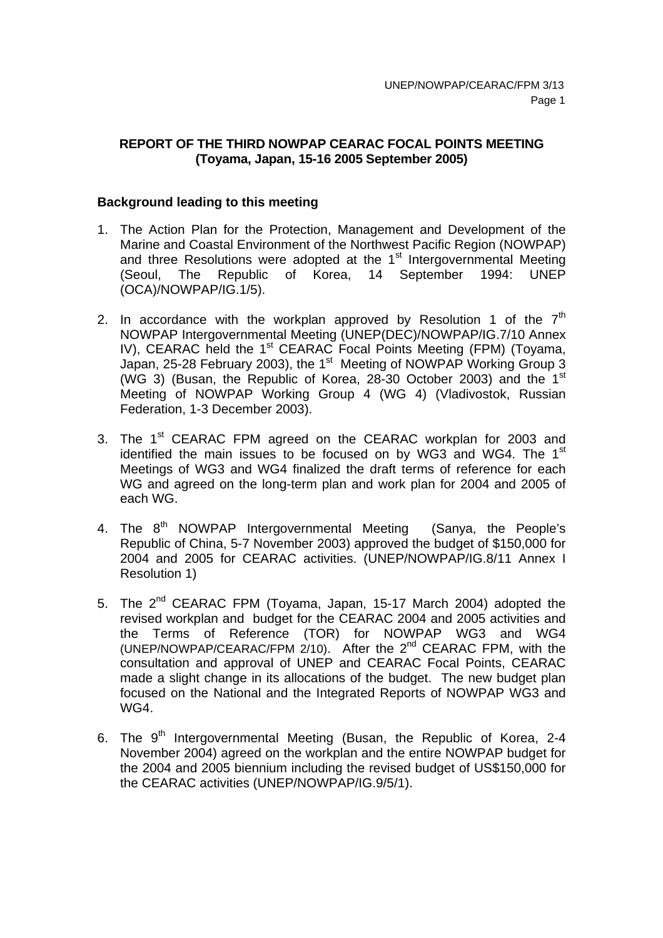# **REPORT OF THE THIRD NOWPAP CEARAC FOCAL POINTS MEETING (Toyama, Japan, 15-16 2005 September 2005)**

### **Background leading to this meeting**

- 1. The Action Plan for the Protection, Management and Development of the Marine and Coastal Environment of the Northwest Pacific Region (NOWPAP) and three Resolutions were adopted at the  $1<sup>st</sup>$  Intergovernmental Meeting (Seoul, The Republic of Korea, 14 September 1994: UNEP (OCA)/NOWPAP/IG.1/5).
- 2. In accordance with the workplan approved by Resolution 1 of the  $7<sup>th</sup>$ NOWPAP Intergovernmental Meeting (UNEP(DEC)/NOWPAP/IG.7/10 Annex IV), CEARAC held the 1<sup>st</sup> CEARAC Focal Points Meeting (FPM) (Toyama, Japan, 25-28 February 2003), the 1<sup>st</sup> Meeting of NOWPAP Working Group 3 (WG 3) (Busan, the Republic of Korea, 28-30 October 2003) and the 1st Meeting of NOWPAP Working Group 4 (WG 4) (Vladivostok, Russian Federation, 1-3 December 2003).
- 3. The 1<sup>st</sup> CEARAC FPM agreed on the CEARAC workplan for 2003 and identified the main issues to be focused on by WG3 and WG4. The  $1<sup>st</sup>$ Meetings of WG3 and WG4 finalized the draft terms of reference for each WG and agreed on the long-term plan and work plan for 2004 and 2005 of each WG.
- 4. The 8<sup>th</sup> NOWPAP Intergovernmental Meeting (Sanva, the People's Republic of China, 5-7 November 2003) approved the budget of \$150,000 for 2004 and 2005 for CEARAC activities. (UNEP/NOWPAP/IG.8/11 Annex I Resolution 1)
- 5. The 2<sup>nd</sup> CEARAC FPM (Toyama, Japan, 15-17 March 2004) adopted the revised workplan and budget for the CEARAC 2004 and 2005 activities and the Terms of Reference (TOR) for NOWPAP WG3 and WG4 (UNEP/NOWPAP/CEARAC/FPM 2/10). After the 2<sup>nd</sup> CEARAC FPM, with the consultation and approval of UNEP and CEARAC Focal Points, CEARAC made a slight change in its allocations of the budget. The new budget plan focused on the National and the Integrated Reports of NOWPAP WG3 and WG4.
- 6. The  $9<sup>th</sup>$  Intergovernmental Meeting (Busan, the Republic of Korea, 2-4 November 2004) agreed on the workplan and the entire NOWPAP budget for the 2004 and 2005 biennium including the revised budget of US\$150,000 for the CEARAC activities (UNEP/NOWPAP/IG.9/5/1).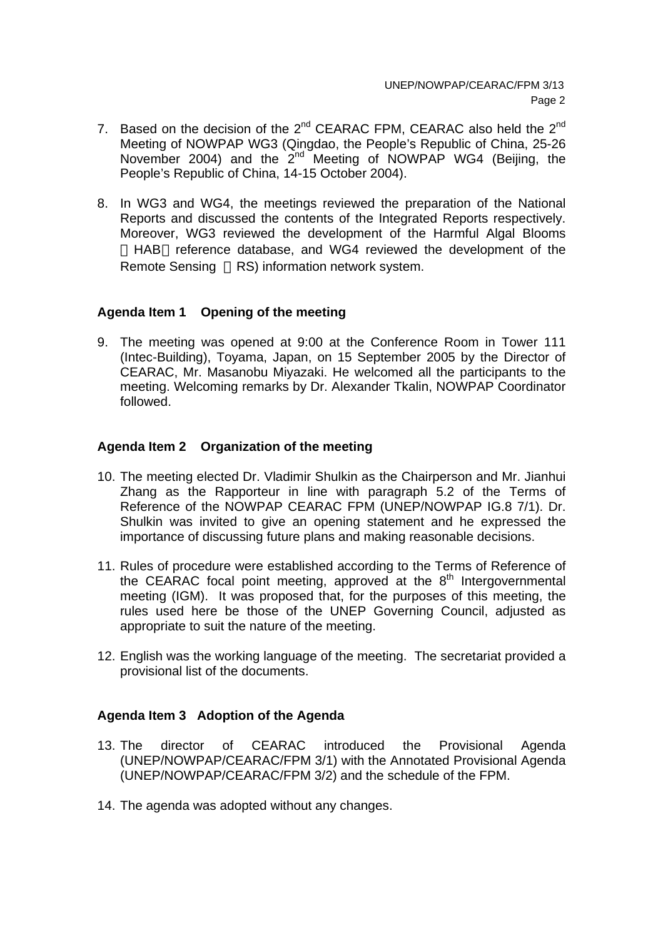- 7. Based on the decision of the  $2^{nd}$  CEARAC FPM, CEARAC also held the  $2^{nd}$ Meeting of NOWPAP WG3 (Qingdao, the People's Republic of China, 25-26 November 2004) and the  $2^{nd}$  Meeting of NOWPAP WG4 (Beijing, the People's Republic of China, 14-15 October 2004).
- 8. In WG3 and WG4, the meetings reviewed the preparation of the National Reports and discussed the contents of the Integrated Reports respectively. Moreover, WG3 reviewed the development of the Harmful Algal Blooms HAB reference database, and WG4 reviewed the development of the Remote Sensing RS) information network system.

## **Agenda Item 1 Opening of the meeting**

9. The meeting was opened at 9:00 at the Conference Room in Tower 111 (Intec-Building), Toyama, Japan, on 15 September 2005 by the Director of CEARAC, Mr. Masanobu Miyazaki. He welcomed all the participants to the meeting. Welcoming remarks by Dr. Alexander Tkalin, NOWPAP Coordinator followed.

## **Agenda Item 2 Organization of the meeting**

- 10. The meeting elected Dr. Vladimir Shulkin as the Chairperson and Mr. Jianhui Zhang as the Rapporteur in line with paragraph 5.2 of the Terms of Reference of the NOWPAP CEARAC FPM (UNEP/NOWPAP IG.8 7/1). Dr. Shulkin was invited to give an opening statement and he expressed the importance of discussing future plans and making reasonable decisions.
- 11. Rules of procedure were established according to the Terms of Reference of the CEARAC focal point meeting, approved at the  $8<sup>th</sup>$  Intergovernmental meeting (IGM). It was proposed that, for the purposes of this meeting, the rules used here be those of the UNEP Governing Council, adjusted as appropriate to suit the nature of the meeting.
- 12. English was the working language of the meeting. The secretariat provided a provisional list of the documents.

# **Agenda Item 3 Adoption of the Agenda**

- 13. The director of CEARAC introduced the Provisional Agenda (UNEP/NOWPAP/CEARAC/FPM 3/1) with the Annotated Provisional Agenda (UNEP/NOWPAP/CEARAC/FPM 3/2) and the schedule of the FPM.
- 14. The agenda was adopted without any changes.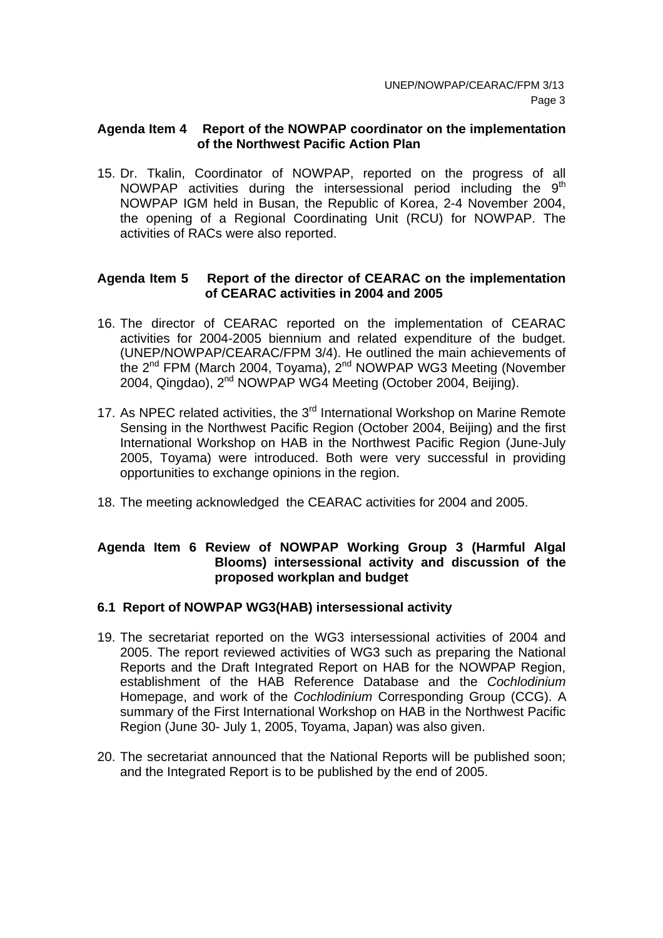### **Agenda Item 4 Report of the NOWPAP coordinator on the implementation of the Northwest Pacific Action Plan**

15. Dr. Tkalin, Coordinator of NOWPAP, reported on the progress of all NOWPAP activities during the intersessional period including the  $9<sup>th</sup>$ NOWPAP IGM held in Busan, the Republic of Korea, 2-4 November 2004, the opening of a Regional Coordinating Unit (RCU) for NOWPAP. The activities of RACs were also reported.

### **Agenda Item 5 Report of the director of CEARAC on the implementation of CEARAC activities in 2004 and 2005**

- 16. The director of CEARAC reported on the implementation of CEARAC activities for 2004-2005 biennium and related expenditure of the budget. (UNEP/NOWPAP/CEARAC/FPM 3/4). He outlined the main achievements of the 2<sup>nd</sup> FPM (March 2004, Toyama), 2<sup>nd</sup> NOWPAP WG3 Meeting (November 2004, Qingdao), 2<sup>nd</sup> NOWPAP WG4 Meeting (October 2004, Beijing).
- 17. As NPEC related activities, the 3<sup>rd</sup> International Workshop on Marine Remote Sensing in the Northwest Pacific Region (October 2004, Beijing) and the first International Workshop on HAB in the Northwest Pacific Region (June-July 2005, Toyama) were introduced. Both were very successful in providing opportunities to exchange opinions in the region.
- 18. The meeting acknowledged the CEARAC activities for 2004 and 2005.

# **Agenda Item 6 Review of NOWPAP Working Group 3 (Harmful Algal Blooms) intersessional activity and discussion of the proposed workplan and budget**

#### **6.1 Report of NOWPAP WG3(HAB) intersessional activity**

- 19. The secretariat reported on the WG3 intersessional activities of 2004 and 2005. The report reviewed activities of WG3 such as preparing the National Reports and the Draft Integrated Report on HAB for the NOWPAP Region, establishment of the HAB Reference Database and the *Cochlodinium* Homepage, and work of the *Cochlodinium* Corresponding Group (CCG). A summary of the First International Workshop on HAB in the Northwest Pacific Region (June 30- July 1, 2005, Toyama, Japan) was also given.
- 20. The secretariat announced that the National Reports will be published soon; and the Integrated Report is to be published by the end of 2005.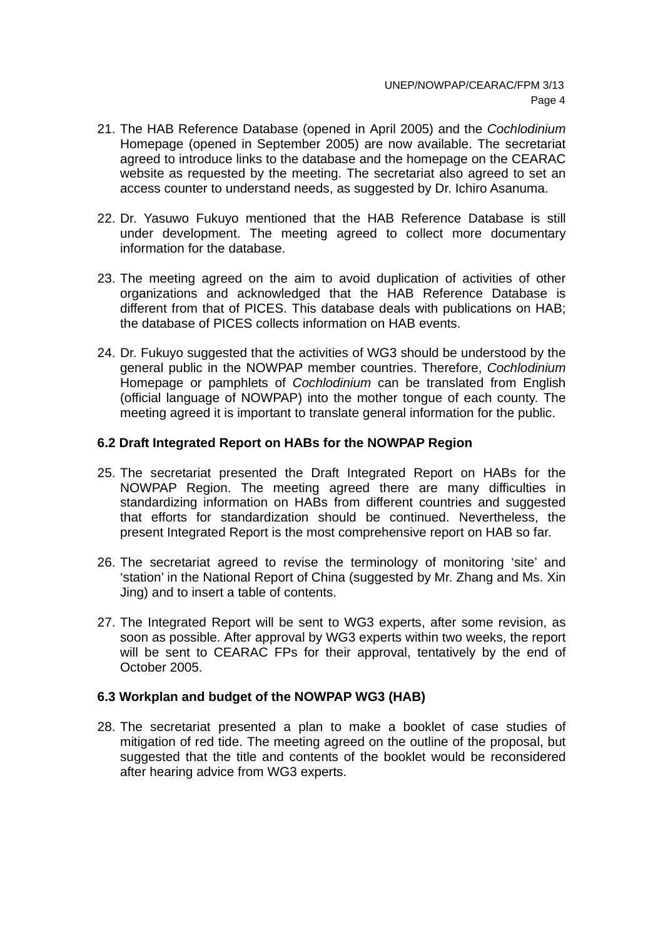- 21. The HAB Reference Database (opened in April 2005) and the *Cochlodinium* Homepage (opened in September 2005) are now available. The secretariat agreed to introduce links to the database and the homepage on the CEARAC website as requested by the meeting. The secretariat also agreed to set an access counter to understand needs, as suggested by Dr. Ichiro Asanuma.
- 22. Dr. Yasuwo Fukuyo mentioned that the HAB Reference Database is still under development. The meeting agreed to collect more documentary information for the database.
- 23. The meeting agreed on the aim to avoid duplication of activities of other organizations and acknowledged that the HAB Reference Database is different from that of PICES. This database deals with publications on HAB; the database of PICES collects information on HAB events.
- 24. Dr. Fukuyo suggested that the activities of WG3 should be understood by the general public in the NOWPAP member countries. Therefore, *Cochlodinium* Homepage or pamphlets of *Cochlodinium* can be translated from English (official language of NOWPAP) into the mother tongue of each county. The meeting agreed it is important to translate general information for the public.

# **6.2 Draft Integrated Report on HABs for the NOWPAP Region**

- 25. The secretariat presented the Draft Integrated Report on HABs for the NOWPAP Region. The meeting agreed there are many difficulties in standardizing information on HABs from different countries and suggested that efforts for standardization should be continued. Nevertheless, the present Integrated Report is the most comprehensive report on HAB so far.
- 26. The secretariat agreed to revise the terminology of monitoring 'site' and 'station' in the National Report of China (suggested by Mr. Zhang and Ms. Xin Jing) and to insert a table of contents.
- 27. The Integrated Report will be sent to WG3 experts, after some revision, as soon as possible. After approval by WG3 experts within two weeks, the report will be sent to CEARAC FPs for their approval, tentatively by the end of October 2005.

# **6.3 Workplan and budget of the NOWPAP WG3 (HAB)**

28. The secretariat presented a plan to make a booklet of case studies of mitigation of red tide. The meeting agreed on the outline of the proposal, but suggested that the title and contents of the booklet would be reconsidered after hearing advice from WG3 experts.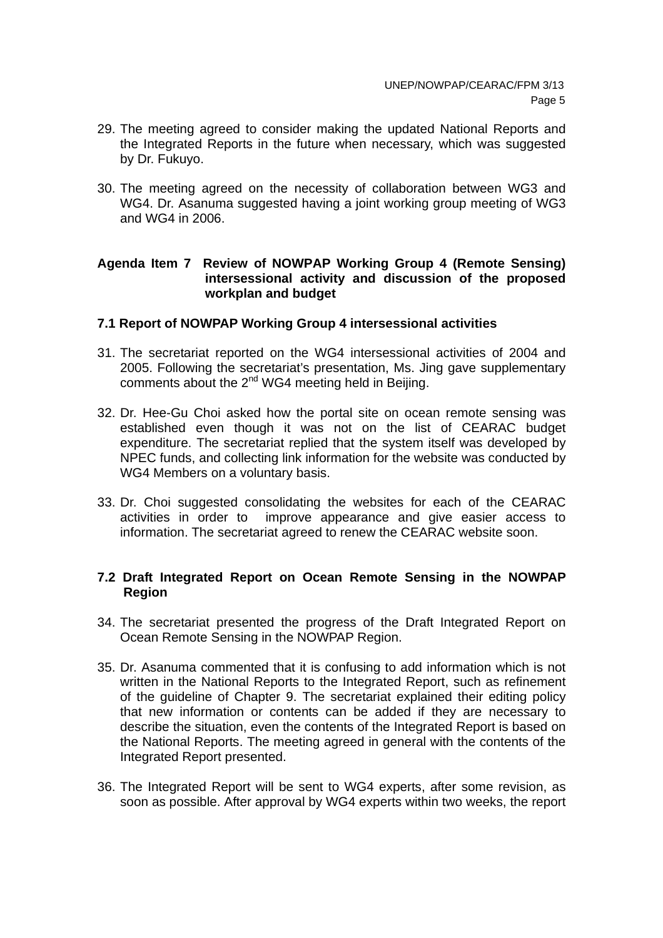- 29. The meeting agreed to consider making the updated National Reports and the Integrated Reports in the future when necessary, which was suggested by Dr. Fukuyo.
- 30. The meeting agreed on the necessity of collaboration between WG3 and WG4. Dr. Asanuma suggested having a joint working group meeting of WG3 and WG4 in 2006.

## **Agenda Item 7 Review of NOWPAP Working Group 4 (Remote Sensing) intersessional activity and discussion of the proposed workplan and budget**

## **7.1 Report of NOWPAP Working Group 4 intersessional activities**

- 31. The secretariat reported on the WG4 intersessional activities of 2004 and 2005. Following the secretariat's presentation, Ms. Jing gave supplementary comments about the 2<sup>nd</sup> WG4 meeting held in Beijing.
- 32. Dr. Hee-Gu Choi asked how the portal site on ocean remote sensing was established even though it was not on the list of CEARAC budget expenditure. The secretariat replied that the system itself was developed by NPEC funds, and collecting link information for the website was conducted by WG4 Members on a voluntary basis.
- 33. Dr. Choi suggested consolidating the websites for each of the CEARAC activities in order to improve appearance and give easier access to information. The secretariat agreed to renew the CEARAC website soon.

## **7.2 Draft Integrated Report on Ocean Remote Sensing in the NOWPAP Region**

- 34. The secretariat presented the progress of the Draft Integrated Report on Ocean Remote Sensing in the NOWPAP Region.
- 35. Dr. Asanuma commented that it is confusing to add information which is not written in the National Reports to the Integrated Report, such as refinement of the guideline of Chapter 9. The secretariat explained their editing policy that new information or contents can be added if they are necessary to describe the situation, even the contents of the Integrated Report is based on the National Reports. The meeting agreed in general with the contents of the Integrated Report presented.
- 36. The Integrated Report will be sent to WG4 experts, after some revision, as soon as possible. After approval by WG4 experts within two weeks, the report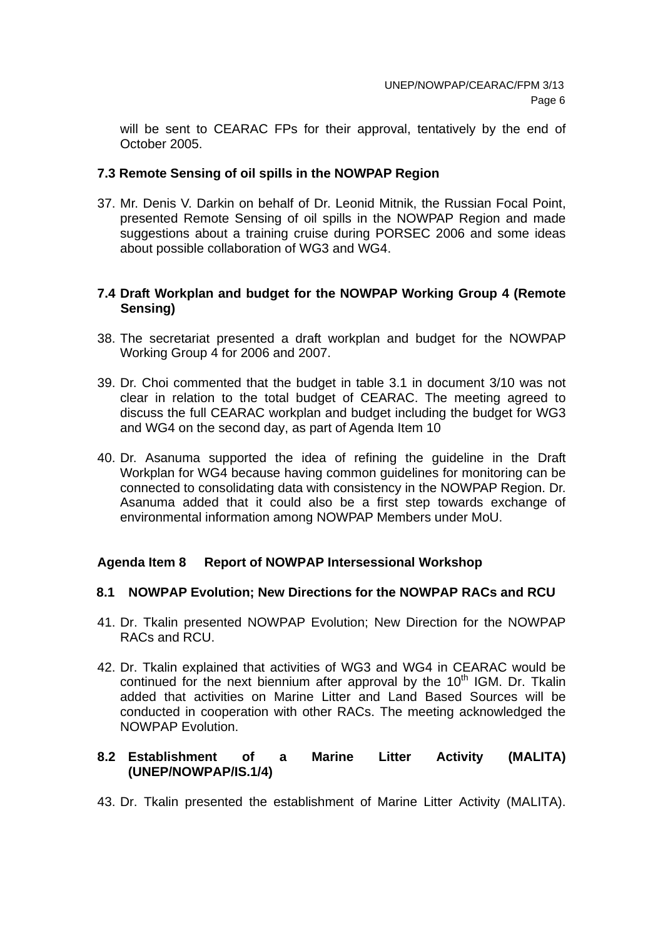will be sent to CEARAC FPs for their approval, tentatively by the end of October 2005.

## **7.3 Remote Sensing of oil spills in the NOWPAP Region**

37. Mr. Denis V. Darkin on behalf of Dr. Leonid Mitnik, the Russian Focal Point, presented Remote Sensing of oil spills in the NOWPAP Region and made suggestions about a training cruise during PORSEC 2006 and some ideas about possible collaboration of WG3 and WG4.

### **7.4 Draft Workplan and budget for the NOWPAP Working Group 4 (Remote Sensing)**

- 38. The secretariat presented a draft workplan and budget for the NOWPAP Working Group 4 for 2006 and 2007.
- 39. Dr. Choi commented that the budget in table 3.1 in document 3/10 was not clear in relation to the total budget of CEARAC. The meeting agreed to discuss the full CEARAC workplan and budget including the budget for WG3 and WG4 on the second day, as part of Agenda Item 10
- 40. Dr. Asanuma supported the idea of refining the guideline in the Draft Workplan for WG4 because having common guidelines for monitoring can be connected to consolidating data with consistency in the NOWPAP Region. Dr. Asanuma added that it could also be a first step towards exchange of environmental information among NOWPAP Members under MoU.

#### **Agenda Item 8 Report of NOWPAP Intersessional Workshop**

#### **8.1 NOWPAP Evolution; New Directions for the NOWPAP RACs and RCU**

- 41. Dr. Tkalin presented NOWPAP Evolution; New Direction for the NOWPAP RACs and RCU.
- 42. Dr. Tkalin explained that activities of WG3 and WG4 in CEARAC would be continued for the next biennium after approval by the  $10<sup>th</sup>$  IGM. Dr. Tkalin added that activities on Marine Litter and Land Based Sources will be conducted in cooperation with other RACs. The meeting acknowledged the NOWPAP Evolution.

## **8.2 Establishment of a Marine Litter Activity (MALITA) (UNEP/NOWPAP/IS.1/4)**

43. Dr. Tkalin presented the establishment of Marine Litter Activity (MALITA).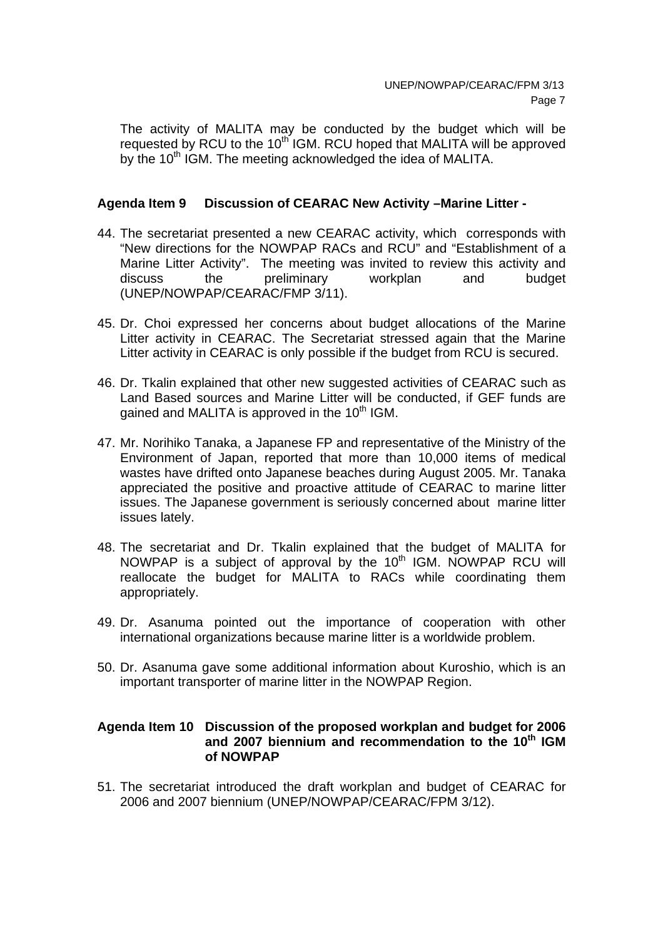The activity of MALITA may be conducted by the budget which will be requested by RCU to the 10<sup>th</sup> IGM. RCU hoped that MALITA will be approved by the 10<sup>th</sup> IGM. The meeting acknowledged the idea of MALITA.

## **Agenda Item 9 Discussion of CEARAC New Activity –Marine Litter -**

- 44. The secretariat presented a new CEARAC activity, which corresponds with "New directions for the NOWPAP RACs and RCU" and "Establishment of a Marine Litter Activity". The meeting was invited to review this activity and discuss the preliminary workplan and budget (UNEP/NOWPAP/CEARAC/FMP 3/11).
- 45. Dr. Choi expressed her concerns about budget allocations of the Marine Litter activity in CEARAC. The Secretariat stressed again that the Marine Litter activity in CEARAC is only possible if the budget from RCU is secured.
- 46. Dr. Tkalin explained that other new suggested activities of CEARAC such as Land Based sources and Marine Litter will be conducted, if GEF funds are gained and MALITA is approved in the 10<sup>th</sup> IGM.
- 47. Mr. Norihiko Tanaka, a Japanese FP and representative of the Ministry of the Environment of Japan, reported that more than 10,000 items of medical wastes have drifted onto Japanese beaches during August 2005. Mr. Tanaka appreciated the positive and proactive attitude of CEARAC to marine litter issues. The Japanese government is seriously concerned about marine litter issues lately.
- 48. The secretariat and Dr. Tkalin explained that the budget of MALITA for NOWPAP is a subject of approval by the 10<sup>th</sup> IGM. NOWPAP RCU will reallocate the budget for MALITA to RACs while coordinating them appropriately.
- 49. Dr. Asanuma pointed out the importance of cooperation with other international organizations because marine litter is a worldwide problem.
- 50. Dr. Asanuma gave some additional information about Kuroshio, which is an important transporter of marine litter in the NOWPAP Region.

#### **Agenda Item 10 Discussion of the proposed workplan and budget for 2006**  and 2007 biennium and recommendation to the 10<sup>th</sup> IGM **of NOWPAP**

51. The secretariat introduced the draft workplan and budget of CEARAC for 2006 and 2007 biennium (UNEP/NOWPAP/CEARAC/FPM 3/12).